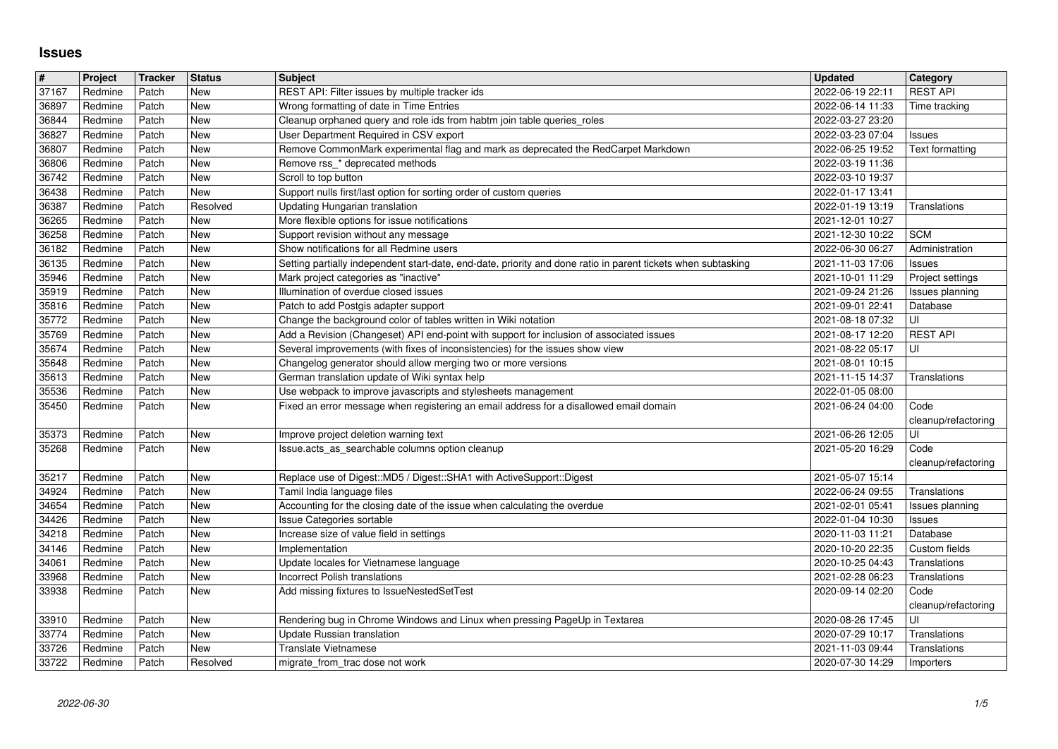## **Issues**

| $\vert \#$<br>37167 | Project            | <b>Tracker</b> | <b>Status</b><br>New | <b>Subject</b>                                                                                                                                             | <b>Updated</b>                       | Category<br><b>REST API</b>         |
|---------------------|--------------------|----------------|----------------------|------------------------------------------------------------------------------------------------------------------------------------------------------------|--------------------------------------|-------------------------------------|
| 36897               | Redmine<br>Redmine | Patch<br>Patch | New                  | REST API: Filter issues by multiple tracker ids<br>Wrong formatting of date in Time Entries                                                                | 2022-06-19 22:11<br>2022-06-14 11:33 | Time tracking                       |
| 36844               | Redmine            | Patch          | New                  | Cleanup orphaned query and role ids from habtm join table queries_roles                                                                                    | 2022-03-27 23:20                     |                                     |
| 36827<br>36807      | Redmine<br>Redmine | Patch<br>Patch | New<br>New           | User Department Required in CSV export<br>Remove CommonMark experimental flag and mark as deprecated the RedCarpet Markdown                                | 2022-03-23 07:04<br>2022-06-25 19:52 | Issues<br>Text formatting           |
| 36806               | Redmine            | Patch          | New                  | Remove rss_* deprecated methods                                                                                                                            | 2022-03-19 11:36                     |                                     |
| 36742<br>36438      | Redmine<br>Redmine | Patch<br>Patch | New<br><b>New</b>    | Scroll to top button<br>Support nulls first/last option for sorting order of custom queries                                                                | 2022-03-10 19:37<br>2022-01-17 13:41 |                                     |
| 36387               | Redmine            | Patch          | Resolved             | Updating Hungarian translation                                                                                                                             | 2022-01-19 13:19                     | Translations                        |
| 36265<br>36258      | Redmine<br>Redmine | Patch<br>Patch | New<br>New           | More flexible options for issue notifications<br>Support revision without any message                                                                      | 2021-12-01 10:27<br>2021-12-30 10:22 | <b>SCM</b>                          |
| 36182               | Redmine            | Patch          | New                  | Show notifications for all Redmine users                                                                                                                   | 2022-06-30 06:27                     | Administration                      |
| 36135               | Redmine            | Patch          | New                  | Setting partially independent start-date, end-date, priority and done ratio in parent tickets when subtasking                                              | 2021-11-03 17:06                     | <b>Issues</b>                       |
| 35946<br>35919      | Redmine<br>Redmine | Patch<br>Patch | New<br>New           | Mark project categories as "inactive"<br>Illumination of overdue closed issues                                                                             | 2021-10-01 11:29<br>2021-09-24 21:26 | Project settings<br>Issues planning |
| 35816               | Redmine            | Patch          | New                  | Patch to add Postgis adapter support                                                                                                                       | 2021-09-01 22:41                     | Database                            |
| 35772<br>35769      | Redmine<br>Redmine | Patch<br>Patch | New<br>New           | Change the background color of tables written in Wiki notation<br>Add a Revision (Changeset) API end-point with support for inclusion of associated issues | 2021-08-18 07:32<br>2021-08-17 12:20 | UI<br><b>REST API</b>               |
| 35674               | Redmine            | Patch          | New                  | Several improvements (with fixes of inconsistencies) for the issues show view                                                                              | 2021-08-22 05:17                     | UI                                  |
| 35648<br>35613      | Redmine<br>Redmine | Patch<br>Patch | New<br><b>New</b>    | Changelog generator should allow merging two or more versions<br>German translation update of Wiki syntax help                                             | 2021-08-01 10:15<br>2021-11-15 14:37 | Translations                        |
| 35536               | Redmine            | Patch          | New                  | Use webpack to improve javascripts and stylesheets management                                                                                              | 2022-01-05 08:00                     |                                     |
| 35450               | Redmine            | Patch          | New                  | Fixed an error message when registering an email address for a disallowed email domain                                                                     | 2021-06-24 04:00                     | Code<br>cleanup/refactoring         |
| 35373               | Redmine            | Patch          | New                  | Improve project deletion warning text                                                                                                                      | 2021-06-26 12:05                     | UI                                  |
| 35268               | Redmine            | Patch          | New                  | Issue.acts_as_searchable columns option cleanup                                                                                                            | 2021-05-20 16:29                     | Code<br>cleanup/refactoring         |
| 35217               | Redmine            | Patch          | <b>New</b>           | Replace use of Digest:: MD5 / Digest:: SHA1 with ActiveSupport:: Digest                                                                                    | 2021-05-07 15:14                     |                                     |
| 34924               | Redmine            | Patch          | <b>New</b>           | Tamil India language files                                                                                                                                 | 2022-06-24 09:55                     | Translations                        |
| 34654<br>34426      | Redmine<br>Redmine | Patch<br>Patch | New<br>New           | Accounting for the closing date of the issue when calculating the overdue<br><b>Issue Categories sortable</b>                                              | 2021-02-01 05:41<br>2022-01-04 10:30 | Issues planning<br><b>Issues</b>    |
| 34218               | Redmine            | Patch          | <b>New</b>           | Increase size of value field in settings                                                                                                                   | 2020-11-03 11:21                     | Database                            |
| 34146<br>34061      | Redmine<br>Redmine | Patch<br>Patch | <b>New</b><br>New    | Implementation<br>Update locales for Vietnamese language                                                                                                   | 2020-10-20 22:35<br>2020-10-25 04:43 | Custom fields<br>Translations       |
| 33968               | Redmine            | Patch          | New                  | <b>Incorrect Polish translations</b>                                                                                                                       | 2021-02-28 06:23                     | Translations                        |
| 33938               | Redmine            | Patch          | New                  | Add missing fixtures to IssueNestedSetTest                                                                                                                 | 2020-09-14 02:20                     | Code<br>cleanup/refactoring         |
| 33910               | Redmine            | Patch          | New                  | Rendering bug in Chrome Windows and Linux when pressing PageUp in Textarea                                                                                 | 2020-08-26 17:45                     | ΙUΙ                                 |
| 33774<br>33726      | Redmine<br>Redmine | Patch<br>Patch | New<br>New           | Update Russian translation<br><b>Translate Vietnamese</b>                                                                                                  | 2020-07-29 10:17<br>2021-11-03 09:44 | Translations<br>Translations        |
| 33722               | Redmine            | Patch          | Resolved             | migrate from trac dose not work                                                                                                                            | 2020-07-30 14:29                     | Importers                           |
|                     |                    |                |                      |                                                                                                                                                            |                                      |                                     |
|                     |                    |                |                      |                                                                                                                                                            |                                      |                                     |
|                     |                    |                |                      |                                                                                                                                                            |                                      |                                     |
|                     |                    |                |                      |                                                                                                                                                            |                                      |                                     |
|                     |                    |                |                      |                                                                                                                                                            |                                      |                                     |
|                     |                    |                |                      |                                                                                                                                                            |                                      |                                     |
|                     |                    |                |                      |                                                                                                                                                            |                                      |                                     |
|                     |                    |                |                      |                                                                                                                                                            |                                      |                                     |
|                     |                    |                |                      |                                                                                                                                                            |                                      |                                     |
|                     |                    |                |                      |                                                                                                                                                            |                                      |                                     |
|                     |                    |                |                      |                                                                                                                                                            |                                      |                                     |
|                     |                    |                |                      |                                                                                                                                                            |                                      |                                     |
|                     |                    |                |                      |                                                                                                                                                            |                                      |                                     |
|                     |                    |                |                      |                                                                                                                                                            |                                      |                                     |
|                     |                    |                |                      |                                                                                                                                                            |                                      |                                     |
|                     |                    |                |                      |                                                                                                                                                            |                                      |                                     |
|                     |                    |                |                      |                                                                                                                                                            |                                      |                                     |
|                     |                    |                |                      |                                                                                                                                                            |                                      |                                     |
|                     |                    |                |                      |                                                                                                                                                            |                                      |                                     |
|                     |                    |                |                      |                                                                                                                                                            |                                      |                                     |
|                     |                    |                |                      |                                                                                                                                                            |                                      |                                     |
|                     |                    |                |                      |                                                                                                                                                            |                                      |                                     |
|                     |                    |                |                      |                                                                                                                                                            |                                      |                                     |
|                     |                    |                |                      |                                                                                                                                                            |                                      |                                     |
|                     |                    |                |                      |                                                                                                                                                            |                                      |                                     |
|                     |                    |                |                      |                                                                                                                                                            |                                      |                                     |
|                     |                    |                |                      |                                                                                                                                                            |                                      |                                     |
|                     |                    |                |                      |                                                                                                                                                            |                                      |                                     |
|                     |                    |                |                      |                                                                                                                                                            |                                      |                                     |
|                     |                    |                |                      |                                                                                                                                                            |                                      |                                     |
|                     |                    |                |                      |                                                                                                                                                            |                                      |                                     |
|                     |                    |                |                      |                                                                                                                                                            |                                      |                                     |
|                     |                    |                |                      |                                                                                                                                                            |                                      |                                     |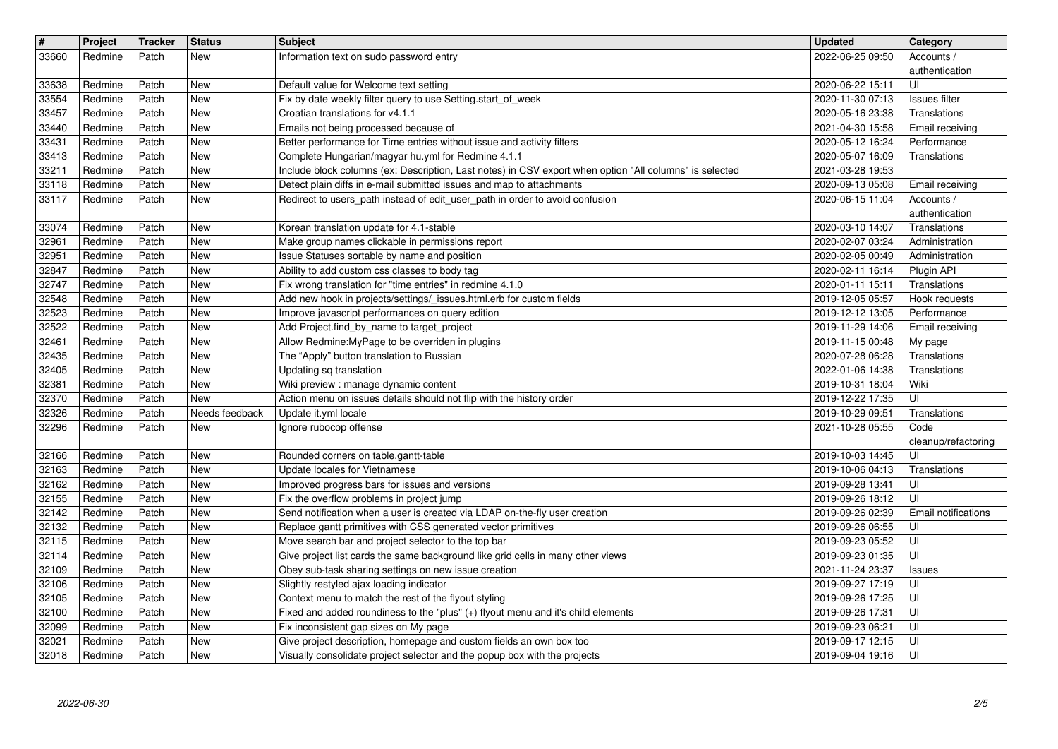| $\sqrt{\frac{4}{15}}$<br>33660 | Project<br>Redmine | Tracker<br>Patch | <b>Status</b><br>New     | <b>Subject</b><br>Information text on sudo password entry                                                                                            | <b>Updated</b><br>2022-06-25 09:50   | Category<br>Accounts /                          |
|--------------------------------|--------------------|------------------|--------------------------|------------------------------------------------------------------------------------------------------------------------------------------------------|--------------------------------------|-------------------------------------------------|
| 33638                          | Redmine            | Patch            | New                      | Default value for Welcome text setting                                                                                                               | 2020-06-22 15:11                     | authentication<br>UI                            |
| 33554<br>33457                 | Redmine<br>Redmine | Patch<br>Patch   | <b>New</b><br><b>New</b> | Fix by date weekly filter query to use Setting.start_of_week<br>Croatian translations for v4.1.1                                                     | 2020-11-30 07:13<br>2020-05-16 23:38 | Issues filter<br>Translations                   |
| 33440                          | Redmine            | Patch            | <b>New</b>               | Emails not being processed because of                                                                                                                | 2021-04-30 15:58                     | Email receiving                                 |
| 33431<br>33413                 | Redmine<br>Redmine | Patch<br>Patch   | <b>New</b><br><b>New</b> | Better performance for Time entries without issue and activity filters<br>Complete Hungarian/magyar hu.yml for Redmine 4.1.1                         | 2020-05-12 16:24<br>2020-05-07 16:09 | Performance<br>Translations                     |
| 33211                          | Redmine            | Patch            | <b>New</b>               | Include block columns (ex: Description, Last notes) in CSV export when option "All columns" is selected                                              | 2021-03-28 19:53                     |                                                 |
| 33118<br>33117                 | Redmine<br>Redmine | Patch<br>Patch   | <b>New</b><br><b>New</b> | Detect plain diffs in e-mail submitted issues and map to attachments<br>Redirect to users_path instead of edit_user_path in order to avoid confusion | 2020-09-13 05:08<br>2020-06-15 11:04 | Email receiving<br>Accounts /<br>authentication |
| 33074                          | Redmine            | Patch            | New                      | Korean translation update for 4.1-stable                                                                                                             | 2020-03-10 14:07                     | Translations                                    |
| 32961<br>32951                 | Redmine<br>Redmine | Patch<br>Patch   | <b>New</b><br><b>New</b> | Make group names clickable in permissions report<br>Issue Statuses sortable by name and position                                                     | 2020-02-07 03:24<br>2020-02-05 00:49 | Administration<br>Administration                |
| 32847                          | Redmine            | Patch            | <b>New</b>               | Ability to add custom css classes to body tag                                                                                                        | 2020-02-11 16:14                     | Plugin API                                      |
| 32747<br>32548                 | Redmine<br>Redmine | Patch<br>Patch   | <b>New</b><br><b>New</b> | Fix wrong translation for "time entries" in redmine 4.1.0<br>Add new hook in projects/settings/_issues.html.erb for custom fields                    | 2020-01-11 15:11<br>2019-12-05 05:57 | Translations<br>Hook requests                   |
| 32523                          | Redmine            | Patch            | <b>New</b>               | Improve javascript performances on query edition                                                                                                     | 2019-12-12 13:05                     | Performance                                     |
| 32522<br>32461                 | Redmine<br>Redmine | Patch<br>Patch   | <b>New</b><br>New        | Add Project.find_by_name to target_project<br>Allow Redmine: My Page to be overriden in plugins                                                      | 2019-11-29 14:06<br>2019-11-15 00:48 | Email receiving<br>My page                      |
| 32435                          | Redmine            | Patch            | <b>New</b>               | The "Apply" button translation to Russian                                                                                                            | 2020-07-28 06:28                     | Translations                                    |
| 32405<br>32381                 | Redmine<br>Redmine | Patch<br>Patch   | <b>New</b><br><b>New</b> | Updating sq translation<br>Wiki preview : manage dynamic content                                                                                     | 2022-01-06 14:38<br>2019-10-31 18:04 | Translations<br>Wiki                            |
| 32370                          | Redmine            | Patch            | New                      | Action menu on issues details should not flip with the history order                                                                                 | 2019-12-22 17:35                     | UI                                              |
| 32326<br>32296                 | Redmine<br>Redmine | Patch<br>Patch   | Needs feedback<br>New    | Update it.yml locale<br>Ignore rubocop offense                                                                                                       | 2019-10-29 09:51<br>2021-10-28 05:55 | Translations<br>Code                            |
|                                |                    |                  |                          |                                                                                                                                                      |                                      | cleanup/refactoring                             |
| 32166<br>32163                 | Redmine<br>Redmine | Patch<br>Patch   | New<br><b>New</b>        | Rounded corners on table.gantt-table<br>Update locales for Vietnamese                                                                                | 2019-10-03 14:45<br>2019-10-06 04:13 | UI<br>Translations                              |
| 32162                          | Redmine            | Patch            | <b>New</b>               | Improved progress bars for issues and versions                                                                                                       | 2019-09-28 13:41                     | UI                                              |
| 32155<br>32142                 | Redmine<br>Redmine | Patch<br>Patch   | <b>New</b><br><b>New</b> | Fix the overflow problems in project jump<br>Send notification when a user is created via LDAP on-the-fly user creation                              | 2019-09-26 18:12<br>2019-09-26 02:39 | l UI<br>Email notifications                     |
| 32132                          | Redmine            | Patch            | <b>New</b>               | Replace gantt primitives with CSS generated vector primitives                                                                                        | 2019-09-26 06:55                     | ΙUΙ                                             |
| 32115<br>32114                 | Redmine<br>Redmine | Patch<br>Patch   | New<br><b>New</b>        | Move search bar and project selector to the top bar<br>Give project list cards the same background like grid cells in many other views               | 2019-09-23 05:52<br>2019-09-23 01:35 | UI<br>UI                                        |
| 32109                          | Redmine            | Patch            | <b>New</b><br><b>New</b> | Obey sub-task sharing settings on new issue creation                                                                                                 | 2021-11-24 23:37                     | <b>Issues</b>                                   |
| 32106<br>$32105$               | Redmine<br>Redmine | Patch<br>Patch   | <b>New</b>               | Slightly restyled ajax loading indicator<br>Context menu to match the rest of the flyout styling                                                     | 2019-09-27 17:19<br>2019-09-26 17:25 | ΙUΙ<br>UI                                       |
| 32100<br>32099                 | Redmine<br>Redmine | Patch<br>Patch   | <b>New</b><br>New        | Fixed and added roundiness to the "plus" (+) flyout menu and it's child elements<br>Fix inconsistent gap sizes on My page                            | 2019-09-26 17:31<br>2019-09-23 06:21 | luı<br>l UI                                     |
| 32021                          | Redmine            | Patch            | New                      | Give project description, homepage and custom fields an own box too<br>Visually consolidate project selector and the popup box with the projects     | 2019-09-17 12:15                     | l UI                                            |
|                                |                    |                  |                          |                                                                                                                                                      |                                      |                                                 |
|                                |                    |                  |                          |                                                                                                                                                      |                                      |                                                 |
|                                |                    |                  |                          |                                                                                                                                                      |                                      |                                                 |
|                                |                    |                  |                          |                                                                                                                                                      |                                      |                                                 |
|                                |                    |                  |                          |                                                                                                                                                      |                                      |                                                 |
|                                |                    |                  |                          |                                                                                                                                                      |                                      |                                                 |
|                                |                    |                  |                          |                                                                                                                                                      |                                      |                                                 |
|                                |                    |                  |                          |                                                                                                                                                      |                                      |                                                 |
|                                |                    |                  |                          |                                                                                                                                                      |                                      |                                                 |
|                                |                    |                  |                          |                                                                                                                                                      |                                      |                                                 |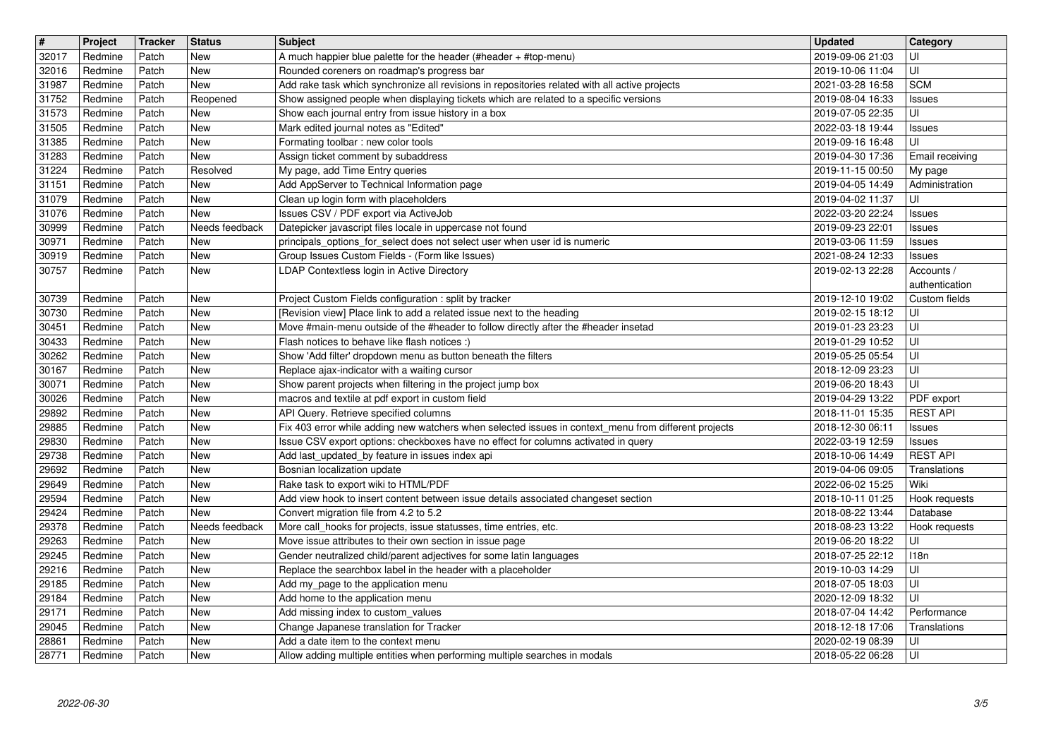| $\overline{\boldsymbol{H}}$ | Project            | Tracker        | <b>Status</b>  | <b>Subject</b>                                                                                                                                                                             | <b>Updated</b>                       | Category                         |
|-----------------------------|--------------------|----------------|----------------|--------------------------------------------------------------------------------------------------------------------------------------------------------------------------------------------|--------------------------------------|----------------------------------|
| 32017<br>32016              | Redmine<br>Redmine | Patch<br>Patch | New<br>New     | A much happier blue palette for the header (#header + #top-menu)<br>Rounded coreners on roadmap's progress bar                                                                             | 2019-09-06 21:03<br>2019-10-06 11:04 | UI<br>UI                         |
| 31987                       | Redmine            | Patch          | New            | Add rake task which synchronize all revisions in repositories related with all active projects                                                                                             | 2021-03-28 16:58                     | <b>SCM</b>                       |
| 31752                       | Redmine            | Patch          | Reopened       | Show assigned people when displaying tickets which are related to a specific versions                                                                                                      | 2019-08-04 16:33                     | <b>Issues</b>                    |
| 31573<br>31505              | Redmine<br>Redmine | Patch<br>Patch | New<br>New     | Show each journal entry from issue history in a box<br>Mark edited journal notes as "Edited"                                                                                               | 2019-07-05 22:35<br>2022-03-18 19:44 | UI                               |
| 31385                       | Redmine            | Patch          | New            | Formating toolbar : new color tools                                                                                                                                                        | 2019-09-16 16:48                     | <b>Issues</b><br>UI              |
| 31283                       | Redmine            | Patch          | New            | Assign ticket comment by subaddress                                                                                                                                                        | 2019-04-30 17:36                     | Email receiving                  |
| 31224                       | Redmine            | Patch          | Resolved       | My page, add Time Entry queries                                                                                                                                                            | 2019-11-15 00:50                     | My page                          |
| 31151<br>31079              | Redmine<br>Redmine | Patch<br>Patch | New<br>New     | Add AppServer to Technical Information page<br>Clean up login form with placeholders                                                                                                       | 2019-04-05 14:49<br>2019-04-02 11:37 | Administration<br>UI             |
| 31076                       | Redmine            | Patch          | New            | Issues CSV / PDF export via ActiveJob                                                                                                                                                      | 2022-03-20 22:24                     | <b>Issues</b>                    |
| 30999                       | Redmine            | Patch          | Needs feedback | Datepicker javascript files locale in uppercase not found                                                                                                                                  | 2019-09-23 22:01                     | <b>Issues</b>                    |
| 30971<br>30919              | Redmine<br>Redmine | Patch<br>Patch | New<br>New     | principals_options_for_select does not select user when user id is numeric<br>Group Issues Custom Fields - (Form like Issues)                                                              | 2019-03-06 11:59<br>2021-08-24 12:33 | <b>Issues</b><br><b>Issues</b>   |
| 30757                       | Redmine            | Patch          | New            | LDAP Contextless login in Active Directory                                                                                                                                                 | 2019-02-13 22:28                     | Accounts /                       |
|                             |                    |                |                |                                                                                                                                                                                            |                                      | authentication                   |
| 30739                       | Redmine            | Patch          | New            | Project Custom Fields configuration : split by tracker                                                                                                                                     | 2019-12-10 19:02                     | Custom fields                    |
| 30730<br>30451              | Redmine<br>Redmine | Patch<br>Patch | New<br>New     | [Revision view] Place link to add a related issue next to the heading<br>Move #main-menu outside of the #header to follow directly after the #header insetad                               | 2019-02-15 18:12<br>2019-01-23 23:23 | UI<br>UI                         |
| 30433                       | Redmine            | Patch          | New            | Flash notices to behave like flash notices :)                                                                                                                                              | 2019-01-29 10:52                     | UI                               |
| 30262                       | Redmine            | Patch          | New            | Show 'Add filter' dropdown menu as button beneath the filters                                                                                                                              | 2019-05-25 05:54                     | UI                               |
| 30167<br>30071              | Redmine<br>Redmine | Patch<br>Patch | New<br>New     | Replace ajax-indicator with a waiting cursor<br>Show parent projects when filtering in the project jump box                                                                                | 2018-12-09 23:23<br>2019-06-20 18:43 | UI<br>UI                         |
| 30026                       | Redmine            | Patch          | New            | macros and textile at pdf export in custom field                                                                                                                                           | 2019-04-29 13:22                     | PDF export                       |
| 29892                       | Redmine            | Patch          | New            | API Query. Retrieve specified columns                                                                                                                                                      | 2018-11-01 15:35                     | <b>REST API</b>                  |
| 29885<br>29830              | Redmine<br>Redmine | Patch<br>Patch | New<br>New     | Fix 403 error while adding new watchers when selected issues in context_menu from different projects<br>Issue CSV export options: checkboxes have no effect for columns activated in query | 2018-12-30 06:11<br>2022-03-19 12:59 | <b>Issues</b>                    |
| 29738                       | Redmine            | Patch          | New            | Add last_updated_by feature in issues index api                                                                                                                                            | 2018-10-06 14:49                     | <b>Issues</b><br><b>REST API</b> |
| 29692                       | Redmine            | Patch          | New            | Bosnian localization update                                                                                                                                                                | 2019-04-06 09:05                     | Translations                     |
| 29649                       | Redmine            | Patch          | New            | Rake task to export wiki to HTML/PDF                                                                                                                                                       | 2022-06-02 15:25                     | Wiki                             |
| 29594<br>29424              | Redmine<br>Redmine | Patch<br>Patch | New<br>New     | Add view hook to insert content between issue details associated changeset section<br>Convert migration file from 4.2 to 5.2                                                               | 2018-10-11 01:25<br>2018-08-22 13:44 | Hook requests<br>Database        |
| 29378                       | Redmine            | Patch          | Needs feedback | More call_hooks for projects, issue statusses, time entries, etc.                                                                                                                          | 2018-08-23 13:22                     | Hook requests                    |
| 29263                       | Redmine            | Patch          | New            | Move issue attributes to their own section in issue page                                                                                                                                   | 2019-06-20 18:22                     | UI                               |
| 29245<br>29216              | Redmine<br>Redmine | Patch<br>Patch | New<br>New     | Gender neutralized child/parent adjectives for some latin languages<br>Replace the searchbox label in the header with a placeholder                                                        | 2018-07-25 22:12                     | 118n<br>UI                       |
| 29185                       | Redmine            | Patch          | New            | Add my_page to the application menu                                                                                                                                                        | 2019-10-03 14:29<br>2018-07-05 18:03 | UI                               |
| 29184                       | Redmine            | Patch          | <b>New</b>     | Add home to the application menu                                                                                                                                                           | 2020-12-09 18:32                     | $\overline{U}$                   |
| 29171                       | Redmine            | Patch          | New            | Add missing index to custom_values                                                                                                                                                         | 2018-07-04 14:42                     | Performance                      |
| 29045<br>28861              | Redmine<br>Redmine | Patch<br>Patch | New<br>New     | Change Japanese translation for Tracker<br>Add a date item to the context menu                                                                                                             | 2018-12-18 17:06<br>2020-02-19 08:39 | Translations<br>UI               |
| 28771                       | Redmine            | Patch          | New            | Allow adding multiple entities when performing multiple searches in modals                                                                                                                 | 2018-05-22 06:28                     | l UI                             |
|                             |                    |                |                |                                                                                                                                                                                            |                                      |                                  |
|                             |                    |                |                |                                                                                                                                                                                            |                                      |                                  |
|                             |                    |                |                |                                                                                                                                                                                            |                                      |                                  |
|                             |                    |                |                |                                                                                                                                                                                            |                                      |                                  |
|                             |                    |                |                |                                                                                                                                                                                            |                                      |                                  |
|                             |                    |                |                |                                                                                                                                                                                            |                                      |                                  |
|                             |                    |                |                |                                                                                                                                                                                            |                                      |                                  |
|                             |                    |                |                |                                                                                                                                                                                            |                                      |                                  |
|                             |                    |                |                |                                                                                                                                                                                            |                                      |                                  |
|                             |                    |                |                |                                                                                                                                                                                            |                                      |                                  |
|                             |                    |                |                |                                                                                                                                                                                            |                                      |                                  |
|                             |                    |                |                |                                                                                                                                                                                            |                                      |                                  |
|                             |                    |                |                |                                                                                                                                                                                            |                                      |                                  |
|                             |                    |                |                |                                                                                                                                                                                            |                                      |                                  |
|                             |                    |                |                |                                                                                                                                                                                            |                                      |                                  |
|                             |                    |                |                |                                                                                                                                                                                            |                                      |                                  |
|                             |                    |                |                |                                                                                                                                                                                            |                                      |                                  |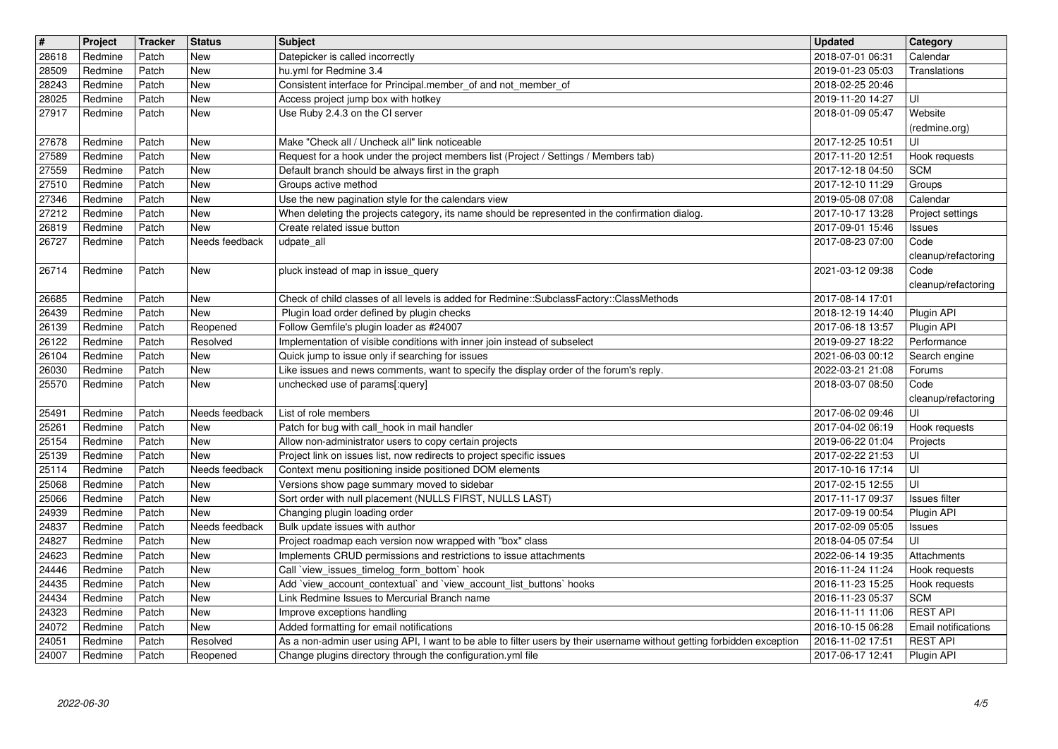| $\sqrt{\frac{4}{15}}$ | Project            | Tracker        | <b>Status</b>            | <b>Subject</b>                                                                                                                                                                        | <b>Updated</b>                       | Category                                      |
|-----------------------|--------------------|----------------|--------------------------|---------------------------------------------------------------------------------------------------------------------------------------------------------------------------------------|--------------------------------------|-----------------------------------------------|
| 28618<br>28509        | Redmine<br>Redmine | Patch<br>Patch | New<br><b>New</b>        | Datepicker is called incorrectly<br>hu.yml for Redmine 3.4                                                                                                                            | 2018-07-01 06:31<br>2019-01-23 05:03 | Calendar<br>Translations                      |
| 28243                 | Redmine            | Patch          | <b>New</b>               | Consistent interface for Principal.member_of and not_member_of                                                                                                                        | 2018-02-25 20:46                     |                                               |
| 28025<br>27917        | Redmine<br>Redmine | Patch<br>Patch | <b>New</b><br>New        | Access project jump box with hotkey<br>Use Ruby 2.4.3 on the CI server                                                                                                                | 2019-11-20 14:27<br>2018-01-09 05:47 | UI<br>Website                                 |
|                       |                    |                |                          |                                                                                                                                                                                       |                                      | (redmine.org)                                 |
| 27678<br>27589        | Redmine<br>Redmine | Patch<br>Patch | <b>New</b><br>New        | Make "Check all / Uncheck all" link noticeable<br>Request for a hook under the project members list (Project / Settings / Members tab)                                                | 2017-12-25 10:51<br>2017-11-20 12:51 | UI<br>Hook requests                           |
| 27559                 | Redmine            | Patch          | New                      | Default branch should be always first in the graph                                                                                                                                    | 2017-12-18 04:50                     | <b>SCM</b>                                    |
| 27510<br>27346        | Redmine<br>Redmine | Patch<br>Patch | <b>New</b><br><b>New</b> | Groups active method<br>Use the new pagination style for the calendars view                                                                                                           | 2017-12-10 11:29<br>2019-05-08 07:08 | Groups<br>Calendar                            |
| 27212                 | Redmine            | Patch          | <b>New</b>               | When deleting the projects category, its name should be represented in the confirmation dialog.                                                                                       | 2017-10-17 13:28                     | Project settings                              |
| 26819<br>26727        | Redmine            | Patch          | New<br>Needs feedback    | Create related issue button                                                                                                                                                           | 2017-09-01 15:46                     | <b>Issues</b>                                 |
|                       | Redmine            | Patch          |                          | udpate_all                                                                                                                                                                            | 2017-08-23 07:00                     | Code<br>cleanup/refactoring                   |
| 26714                 | Redmine            | Patch          | New                      | pluck instead of map in issue_query                                                                                                                                                   | 2021-03-12 09:38                     | Code                                          |
| 26685                 | Redmine            | Patch          | New                      | Check of child classes of all levels is added for Redmine::SubclassFactory::ClassMethods                                                                                              | 2017-08-14 17:01                     | cleanup/refactoring                           |
| 26439                 | Redmine            | Patch          | New                      | Plugin load order defined by plugin checks                                                                                                                                            | 2018-12-19 14:40                     | Plugin API                                    |
| 26139<br>26122        | Redmine<br>Redmine | Patch<br>Patch | Reopened<br>Resolved     | Follow Gemfile's plugin loader as #24007<br>Implementation of visible conditions with inner join instead of subselect                                                                 | 2017-06-18 13:57<br>2019-09-27 18:22 | Plugin API<br>Performance                     |
| 26104                 | Redmine            | Patch          | <b>New</b>               | Quick jump to issue only if searching for issues                                                                                                                                      | 2021-06-03 00:12                     | Search engine                                 |
| 26030<br>25570        | Redmine<br>Redmine | Patch<br>Patch | <b>New</b><br>New        | Like issues and news comments, want to specify the display order of the forum's reply.<br>unchecked use of params[:query]                                                             | 2022-03-21 21:08<br>2018-03-07 08:50 | Forums<br>Code                                |
|                       |                    |                |                          |                                                                                                                                                                                       |                                      | cleanup/refactoring                           |
| 25491                 | Redmine<br>Redmine | Patch<br>Patch | Needs feedback<br>New    | List of role members<br>Patch for bug with call_hook in mail handler                                                                                                                  | 2017-06-02 09:46<br>2017-04-02 06:19 | UI                                            |
| 25261<br>25154        | Redmine            | Patch          | <b>New</b>               | Allow non-administrator users to copy certain projects                                                                                                                                | 2019-06-22 01:04                     | Hook requests<br>Projects                     |
| 25139                 | Redmine            | Patch          | <b>New</b>               | Project link on issues list, now redirects to project specific issues                                                                                                                 | 2017-02-22 21:53                     | UI                                            |
| 25114<br>25068        | Redmine<br>Redmine | Patch<br>Patch | Needs feedback<br>New    | Context menu positioning inside positioned DOM elements<br>Versions show page summary moved to sidebar                                                                                | 2017-10-16 17:14<br>2017-02-15 12:55 | ΙUΙ<br>UI                                     |
| 25066                 | Redmine            | Patch          | <b>New</b>               | Sort order with null placement (NULLS FIRST, NULLS LAST)                                                                                                                              | 2017-11-17 09:37                     | Issues filter                                 |
| 24939<br>24837        | Redmine<br>Redmine | Patch<br>Patch | New<br>Needs feedback    | Changing plugin loading order<br>Bulk update issues with author                                                                                                                       | 2017-09-19 00:54<br>2017-02-09 05:05 | Plugin API<br><b>Issues</b>                   |
| 24827                 | Redmine            | Patch          | New                      | Project roadmap each version now wrapped with "box" class                                                                                                                             | 2018-04-05 07:54                     | UI                                            |
| 24623<br>24446        | Redmine<br>Redmine | Patch<br>Patch | <b>New</b><br>New        | Implements CRUD permissions and restrictions to issue attachments<br>Call `view_issues_timelog_form_bottom` hook                                                                      | 2022-06-14 19:35<br>2016-11-24 11:24 | Attachments<br>Hook requests                  |
| 24435                 | Redmine            | Patch          | <b>New</b>               | Add 'view_account_contextual' and 'view_account_list_buttons' hooks                                                                                                                   | 2016-11-23 15:25                     | Hook requests                                 |
| 24434                 | Redmine            | Patch          | <b>New</b>               | Link Redmine Issues to Mercurial Branch name                                                                                                                                          | 2016-11-23 05:37                     | <sub>SCM</sub>                                |
| 24323<br>24072        | Redmine<br>Redmine | Patch<br>Patch | New<br>New               | Improve exceptions handling<br>Added formatting for email notifications                                                                                                               | 2016-11-11 11:06<br>2016-10-15 06:28 | <b>REST API</b><br><b>Email notifications</b> |
| 24051<br>24007        | Redmine<br>Redmine | Patch<br>Patch | Resolved<br>Reopened     | As a non-admin user using API, I want to be able to filter users by their username without getting forbidden exception<br>Change plugins directory through the configuration.yml file | 2016-11-02 17:51<br>2017-06-17 12:41 | <b>REST API</b><br>Plugin API                 |
|                       |                    |                |                          |                                                                                                                                                                                       |                                      |                                               |
|                       |                    |                |                          |                                                                                                                                                                                       |                                      |                                               |
|                       |                    |                |                          |                                                                                                                                                                                       |                                      |                                               |
|                       |                    |                |                          |                                                                                                                                                                                       |                                      |                                               |
|                       |                    |                |                          |                                                                                                                                                                                       |                                      |                                               |
|                       |                    |                |                          |                                                                                                                                                                                       |                                      |                                               |
|                       |                    |                |                          |                                                                                                                                                                                       |                                      |                                               |
|                       |                    |                |                          |                                                                                                                                                                                       |                                      |                                               |
|                       |                    |                |                          |                                                                                                                                                                                       |                                      |                                               |
|                       |                    |                |                          |                                                                                                                                                                                       |                                      |                                               |
|                       |                    |                |                          |                                                                                                                                                                                       |                                      |                                               |
|                       |                    |                |                          |                                                                                                                                                                                       |                                      |                                               |